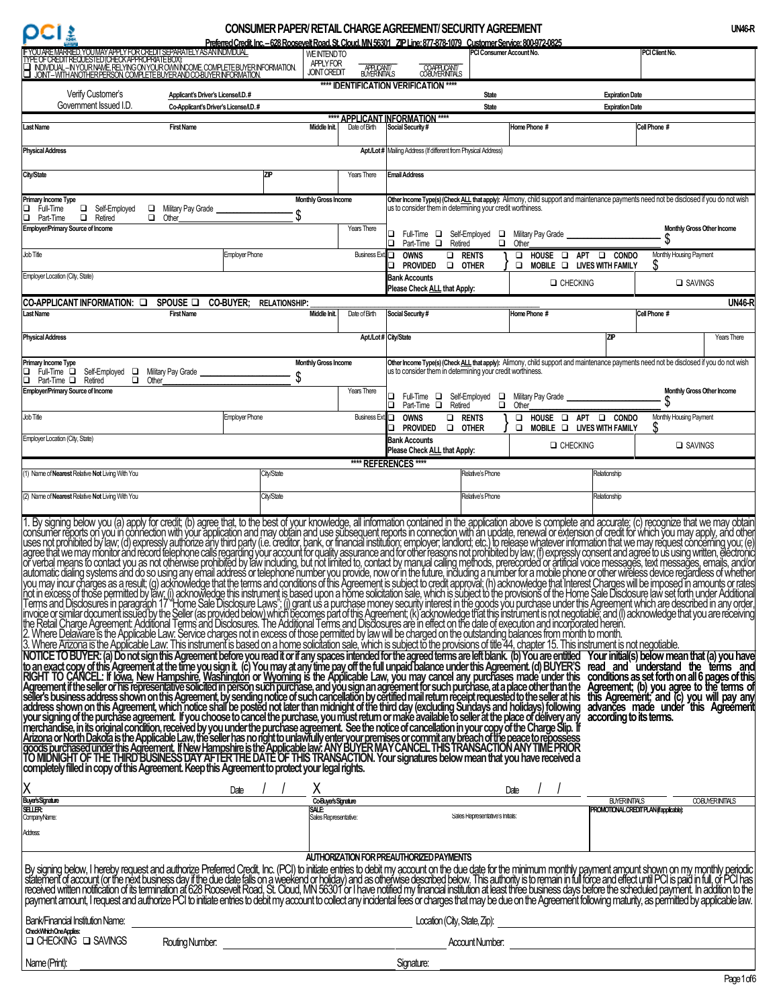# **CONSUMER PAPER/ RETAIL CHARGE AGREEMENT/ SECURITY AGREEMENT**

|                                                                                                                                                                                                                                                                                                                                                                                                                                                                                                                                                                                                                                                                                                                                                                                                                                                                                                                  |                                       |                                                              |                           | <u> Preferred Credit Inc. – 628 Roosevelt Road. St. Cloud. MN 56301 ZIP Line: 877-878-1079 Customer Service: 800-972-0825</u> |                                  |                                                                                                                                       |                        |                                                                                     |                      |
|------------------------------------------------------------------------------------------------------------------------------------------------------------------------------------------------------------------------------------------------------------------------------------------------------------------------------------------------------------------------------------------------------------------------------------------------------------------------------------------------------------------------------------------------------------------------------------------------------------------------------------------------------------------------------------------------------------------------------------------------------------------------------------------------------------------------------------------------------------------------------------------------------------------|---------------------------------------|--------------------------------------------------------------|---------------------------|-------------------------------------------------------------------------------------------------------------------------------|----------------------------------|---------------------------------------------------------------------------------------------------------------------------------------|------------------------|-------------------------------------------------------------------------------------|----------------------|
| YOUARE MARRED, YOUMAYAPPLY FOR CREDIT SEPARATELY AS AN INDIVIDUAL<br>YPE OF CREDIT REQUESTED (CHECK APPROPRATE BOX)<br>— INDIVIDUAL – IN YOUR NAME RELYING ON YOUR OWN NOOME COMPLETE BUYER INFORMATION.<br>— JONT – WITH ANOTHER PERSO                                                                                                                                                                                                                                                                                                                                                                                                                                                                                                                                                                                                                                                                          |                                       | <b>WEINTENDTO</b><br><b>APPLY FOR</b><br><b>JOINT CREDIT</b> | APPLICANT/<br>BUYERNITALS | COAPPLICANT/<br>COBUYERNITALS                                                                                                 | PCI Consumer Account No.         |                                                                                                                                       |                        | PCI Client No.                                                                      |                      |
| Verify Customer's                                                                                                                                                                                                                                                                                                                                                                                                                                                                                                                                                                                                                                                                                                                                                                                                                                                                                                | Applicant's Driver's License/I.D.#    |                                                              |                           | **** IDENTIFICATION VERIFICATION ****                                                                                         | <b>State</b>                     |                                                                                                                                       | <b>Expiration Date</b> |                                                                                     |                      |
| Government Issued I.D.                                                                                                                                                                                                                                                                                                                                                                                                                                                                                                                                                                                                                                                                                                                                                                                                                                                                                           | Co-Applicant's Driver's License/I.D.# |                                                              |                           |                                                                                                                               | <b>State</b>                     |                                                                                                                                       | <b>Expiration Date</b> |                                                                                     |                      |
| Last Name                                                                                                                                                                                                                                                                                                                                                                                                                                                                                                                                                                                                                                                                                                                                                                                                                                                                                                        | <b>First Name</b>                     | Middle Init.                                                 | Date of Birth             | **** APPLICANT INFORMATION ****                                                                                               |                                  | Home Phone #                                                                                                                          |                        | Cell Phone #                                                                        |                      |
|                                                                                                                                                                                                                                                                                                                                                                                                                                                                                                                                                                                                                                                                                                                                                                                                                                                                                                                  |                                       |                                                              |                           | Social Security #                                                                                                             |                                  |                                                                                                                                       |                        |                                                                                     |                      |
| <b>Physical Address</b>                                                                                                                                                                                                                                                                                                                                                                                                                                                                                                                                                                                                                                                                                                                                                                                                                                                                                          |                                       |                                                              |                           | Apt./Lot# Mailing Address (If different from Physical Address)                                                                |                                  |                                                                                                                                       |                        |                                                                                     |                      |
| City/State                                                                                                                                                                                                                                                                                                                                                                                                                                                                                                                                                                                                                                                                                                                                                                                                                                                                                                       |                                       | ZP                                                           | Years There               | <b>Email Address</b>                                                                                                          |                                  |                                                                                                                                       |                        |                                                                                     |                      |
| Primary Income Type<br>Gelf-Employed<br>Full-Time<br>$\Box$                                                                                                                                                                                                                                                                                                                                                                                                                                                                                                                                                                                                                                                                                                                                                                                                                                                      | Military Pay Grade                    | <b>Monthly Gross Income</b>                                  |                           | us to consider them in determining your credit worthiness.                                                                    |                                  | Other Income Type(s) (Check ALL that apply): Alimony, child support and maintenance payments need not be disclosed if you do not wish |                        |                                                                                     |                      |
| $\Box$<br>o.<br>Part-Time<br>Retired<br><b>Employer/Primary Source of Income</b>                                                                                                                                                                                                                                                                                                                                                                                                                                                                                                                                                                                                                                                                                                                                                                                                                                 | Other                                 | \$                                                           | Years There               |                                                                                                                               |                                  |                                                                                                                                       |                        | Monthly Gross Other Income                                                          |                      |
| Job Title                                                                                                                                                                                                                                                                                                                                                                                                                                                                                                                                                                                                                                                                                                                                                                                                                                                                                                        | <b>Employer Phone</b>                 |                                                              | Business Ext.             | Full-Time $\Box$ Self-Employed $\Box$<br>О<br>Part-Time <b>Q</b> Retired<br><b>OWNS</b>                                       | $\Box$<br><b>D</b> RENTS         | Military Pay Grade<br>Other<br>$\Box$ HOUSE $\Box$ APT $\Box$ CONDO                                                                   |                        | S<br>Monthly Housing Payment                                                        |                      |
|                                                                                                                                                                                                                                                                                                                                                                                                                                                                                                                                                                                                                                                                                                                                                                                                                                                                                                                  |                                       |                                                              |                           | $\Box$<br>Provided                                                                                                            | <b>OTHER</b>                     | MOBILE <b>Q</b> LIVES WITH FAMILY<br>□                                                                                                |                        | S                                                                                   |                      |
| Employer Location (City, State)                                                                                                                                                                                                                                                                                                                                                                                                                                                                                                                                                                                                                                                                                                                                                                                                                                                                                  |                                       |                                                              |                           | <b>Bank Accounts</b><br>Please Check ALL that Apply:                                                                          |                                  | <b>Q</b> CHECKING                                                                                                                     |                        | SAVINGS                                                                             |                      |
| CO-APPLICANT INFORMATION: Q                                                                                                                                                                                                                                                                                                                                                                                                                                                                                                                                                                                                                                                                                                                                                                                                                                                                                      | SPOUSE <b>O</b><br><b>CO-BUYER:</b>   | <b>RELATIONSHIP:</b>                                         |                           |                                                                                                                               |                                  |                                                                                                                                       |                        |                                                                                     | <b>UN46-R</b>        |
| <b>Last Name</b>                                                                                                                                                                                                                                                                                                                                                                                                                                                                                                                                                                                                                                                                                                                                                                                                                                                                                                 | <b>First Name</b>                     | Middle Init.                                                 | Date of Birth             | Social Security #                                                                                                             |                                  | Home Phone #                                                                                                                          |                        | Cell Phone #                                                                        |                      |
| <b>Physical Address</b>                                                                                                                                                                                                                                                                                                                                                                                                                                                                                                                                                                                                                                                                                                                                                                                                                                                                                          |                                       |                                                              |                           | Apt./Lot# City/State                                                                                                          |                                  |                                                                                                                                       | <b>ZIP</b>             |                                                                                     | Years There          |
| Primary Income Type                                                                                                                                                                                                                                                                                                                                                                                                                                                                                                                                                                                                                                                                                                                                                                                                                                                                                              |                                       | <b>Monthly Gross Income</b>                                  |                           |                                                                                                                               |                                  | Other Income Type(s) (Check ALL that apply): Alimony, child support and maintenance payments need not be disclosed if you do not wish |                        |                                                                                     |                      |
| Full-Time $\square$<br>Self-Employed <b>□</b> Military Pay Grade _<br>Part-Time □<br>o.<br>Retired<br>$\Box$<br>Other                                                                                                                                                                                                                                                                                                                                                                                                                                                                                                                                                                                                                                                                                                                                                                                            |                                       | S                                                            |                           | us to consider them in determining your credit worthiness.                                                                    |                                  |                                                                                                                                       |                        |                                                                                     |                      |
| <b>Employer/Primary Source of Income</b>                                                                                                                                                                                                                                                                                                                                                                                                                                                                                                                                                                                                                                                                                                                                                                                                                                                                         |                                       |                                                              | Years There               | Full-Time $\Box$ Self-Employed $\Box$<br>Part-Time $\square$<br>◻<br>Retired                                                  | $\Box$                           | Military Pay Grade<br>Other                                                                                                           |                        | Monthly Gross Other Income<br>S                                                     |                      |
| Job Title                                                                                                                                                                                                                                                                                                                                                                                                                                                                                                                                                                                                                                                                                                                                                                                                                                                                                                        | <b>Employer Phone</b>                 |                                                              | Business Ext.             | <b>OWNS</b><br>Provided<br>п                                                                                                  | <b>O RENTS</b><br><b>Q</b> OTHER | $\Box$ HOUSE $\Box$ APT $\Box$ CONDO<br>O MOBILE O LIVES WITH FAMILY                                                                  |                        | Monthly Housing Payment<br>S                                                        |                      |
| Employer Location (City, State)                                                                                                                                                                                                                                                                                                                                                                                                                                                                                                                                                                                                                                                                                                                                                                                                                                                                                  |                                       |                                                              |                           | <b>Bank Accounts</b><br>Please Check ALL that Apply:                                                                          |                                  | <b>Q</b> CHECKING                                                                                                                     |                        | □ SAVINGS                                                                           |                      |
| 1) Name of Nearest Relative Not Living With You                                                                                                                                                                                                                                                                                                                                                                                                                                                                                                                                                                                                                                                                                                                                                                                                                                                                  |                                       | City/State                                                   |                           | **** REFERENCES ****                                                                                                          | Relative's Phone                 |                                                                                                                                       | Relationship           |                                                                                     |                      |
| (2) Name of <b>Nearest</b> Relative Not Living With You                                                                                                                                                                                                                                                                                                                                                                                                                                                                                                                                                                                                                                                                                                                                                                                                                                                          |                                       | City/State                                                   |                           |                                                                                                                               | Relative's Phone                 |                                                                                                                                       | Relationship           |                                                                                     |                      |
|                                                                                                                                                                                                                                                                                                                                                                                                                                                                                                                                                                                                                                                                                                                                                                                                                                                                                                                  |                                       |                                                              |                           |                                                                                                                               |                                  |                                                                                                                                       |                        |                                                                                     |                      |
| . By signing below you (a) apply for credit; (b) agree that, to the best of your knowledge, all information contained in the application above is complete and accurate; (c) recognize that we may obtain<br>(1) as going between the discussion of react (b) agree that, to the best of your knowledge, all information ontained in the application and navel spin-tend to the policieal of the amendment of the policieal of the system o<br>3. When evaluation is the Applicable Law. This histometric based on a home solicity and part of the provisions and the provisions of the provisions of the provisions of the provisions in the case in the provision of the pr<br>TO MIDNIGHT OF THE THIRD BUSINESS DAY AFTER THE DATE OF THIS TRANSACTION. Your signatures below mean that you have received a<br>completely filled in copy of this Agreement. Keep this Agreement to protect your legal rights. |                                       |                                                              |                           |                                                                                                                               |                                  |                                                                                                                                       |                        |                                                                                     |                      |
| Χ<br><b>Buyer's Signature</b>                                                                                                                                                                                                                                                                                                                                                                                                                                                                                                                                                                                                                                                                                                                                                                                                                                                                                    | Date                                  | X                                                            |                           |                                                                                                                               |                                  | Date                                                                                                                                  |                        | <u>// Buyernithus - Buyernithus</u><br>  <b>proviotional credit plan(fapicade):</b> | <b>COBUYERINTALS</b> |
| SELLER:<br>CompanyName:                                                                                                                                                                                                                                                                                                                                                                                                                                                                                                                                                                                                                                                                                                                                                                                                                                                                                          |                                       | SALE:<br>Sales Representative:                               |                           |                                                                                                                               |                                  |                                                                                                                                       |                        |                                                                                     |                      |
| <b>Address:</b>                                                                                                                                                                                                                                                                                                                                                                                                                                                                                                                                                                                                                                                                                                                                                                                                                                                                                                  |                                       |                                                              |                           |                                                                                                                               |                                  |                                                                                                                                       |                        |                                                                                     |                      |
| By signing below, I hereby request and authorize Preferred Credit, Inc. (PCI) to initiate entries to debit my account on the due date for the minimum monthly payment amount shown on my monthly periodic statement of account                                                                                                                                                                                                                                                                                                                                                                                                                                                                                                                                                                                                                                                                                   |                                       |                                                              |                           | AUTHORIZATION FOR PREAUTHORIZED PAYMENTS                                                                                      |                                  |                                                                                                                                       |                        |                                                                                     |                      |
| Bank/Financial Institution Name:<br>CheckWhichOneApplies:                                                                                                                                                                                                                                                                                                                                                                                                                                                                                                                                                                                                                                                                                                                                                                                                                                                        |                                       |                                                              |                           | Location (City, State, Zip):                                                                                                  |                                  | <u> 1980 - Johann Barn, mars ann an t-Amhain Aonaich an t-Aonaich an t-Aonaich ann an t-Aonaich ann an t-Aonaich</u>                  |                        |                                                                                     |                      |
| $\Box$ CHECKING $\Box$ SAVINGS                                                                                                                                                                                                                                                                                                                                                                                                                                                                                                                                                                                                                                                                                                                                                                                                                                                                                   |                                       |                                                              |                           |                                                                                                                               | Account Number:                  | <u> 1980 - Andrea Brand, amerikansk politik (</u>                                                                                     |                        |                                                                                     |                      |
| Name (Print):                                                                                                                                                                                                                                                                                                                                                                                                                                                                                                                                                                                                                                                                                                                                                                                                                                                                                                    |                                       |                                                              |                           | Signature:                                                                                                                    |                                  |                                                                                                                                       |                        |                                                                                     |                      |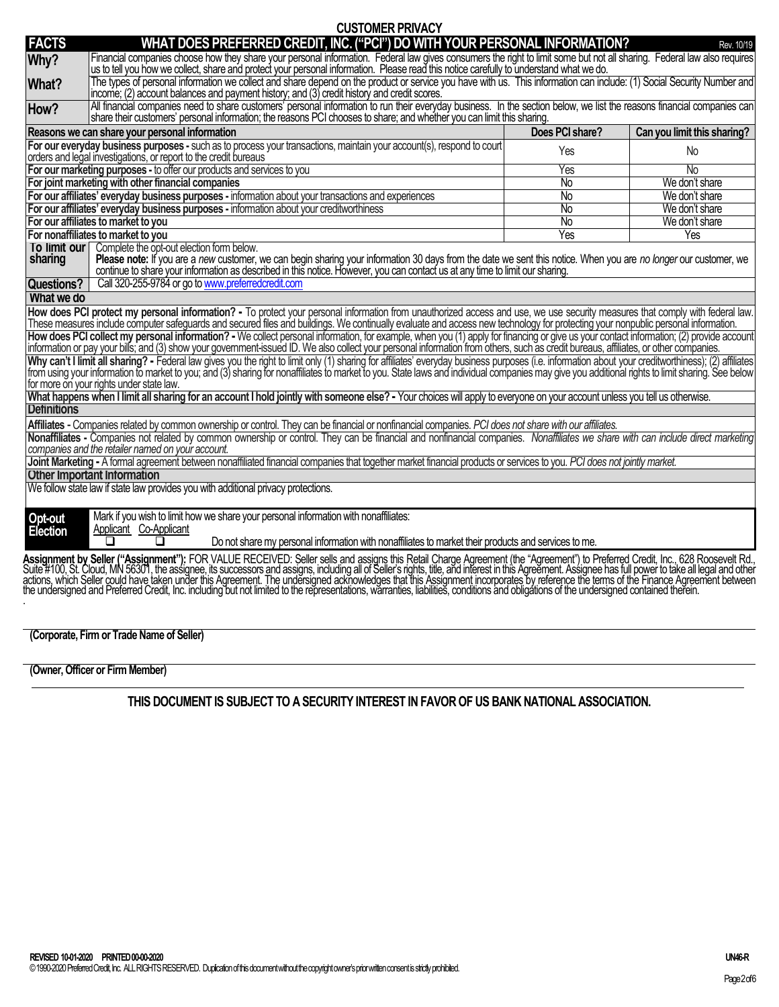| <b>FACTS</b><br>Why?<br>What?<br>How?<br>Reasons we can share your personal information<br>orders and legal investigations, or report to the credit bureaus<br>For joint marketing with other financial companies                                                                                                                                                                                                                                                                                                                                                                                                                                                                                                                                                                                                           | WHAT DOES PREFERRED CREDIT, INC. ("PCI") DO WITH YOUR PERSONAL INFORMATION?<br>Financial companies choose how they share your personal information. Federal law gives consumers the right to limit some but not all sharing. Federal law also requires<br>us to tell you how we collect, share and protect your personal information. Please read this notice carefully to understand what we do.<br>The types of personal information we collect and share depend on the product or service you have with us. This information can include: (1) Social Security Number and<br>income; (2) account balances and payment history; and (3) credit history and credit scores.<br>All financial companies need to share customers' personal information to run their everyday business. In the section below, we list the reasons financial companies can<br>share their customers' personal information; the reasons PCI chooses to share; and whether you can limit this sharing.<br>For our everyday business purposes - such as to process your transactions, maintain your account(s), respond to court<br>For our marketing purposes - to offer our products and services to you<br>For our affiliates' everyday business purposes - information about your transactions and experiences<br>For our affiliates' everyday business purposes - information about your creditworthiness | Does PCI share?<br>Yes<br>Yes<br>No<br>No<br>No<br>No<br>Yes | Rev. 10/19<br>Can you limit this sharing?<br>No<br>No<br>We don't share<br>We don't share<br>We don't share<br>We don't share<br>Yes |  |  |
|-----------------------------------------------------------------------------------------------------------------------------------------------------------------------------------------------------------------------------------------------------------------------------------------------------------------------------------------------------------------------------------------------------------------------------------------------------------------------------------------------------------------------------------------------------------------------------------------------------------------------------------------------------------------------------------------------------------------------------------------------------------------------------------------------------------------------------|----------------------------------------------------------------------------------------------------------------------------------------------------------------------------------------------------------------------------------------------------------------------------------------------------------------------------------------------------------------------------------------------------------------------------------------------------------------------------------------------------------------------------------------------------------------------------------------------------------------------------------------------------------------------------------------------------------------------------------------------------------------------------------------------------------------------------------------------------------------------------------------------------------------------------------------------------------------------------------------------------------------------------------------------------------------------------------------------------------------------------------------------------------------------------------------------------------------------------------------------------------------------------------------------------------------------------------------------------------------------------------------|--------------------------------------------------------------|--------------------------------------------------------------------------------------------------------------------------------------|--|--|
|                                                                                                                                                                                                                                                                                                                                                                                                                                                                                                                                                                                                                                                                                                                                                                                                                             |                                                                                                                                                                                                                                                                                                                                                                                                                                                                                                                                                                                                                                                                                                                                                                                                                                                                                                                                                                                                                                                                                                                                                                                                                                                                                                                                                                                        |                                                              |                                                                                                                                      |  |  |
|                                                                                                                                                                                                                                                                                                                                                                                                                                                                                                                                                                                                                                                                                                                                                                                                                             |                                                                                                                                                                                                                                                                                                                                                                                                                                                                                                                                                                                                                                                                                                                                                                                                                                                                                                                                                                                                                                                                                                                                                                                                                                                                                                                                                                                        |                                                              |                                                                                                                                      |  |  |
|                                                                                                                                                                                                                                                                                                                                                                                                                                                                                                                                                                                                                                                                                                                                                                                                                             |                                                                                                                                                                                                                                                                                                                                                                                                                                                                                                                                                                                                                                                                                                                                                                                                                                                                                                                                                                                                                                                                                                                                                                                                                                                                                                                                                                                        |                                                              |                                                                                                                                      |  |  |
|                                                                                                                                                                                                                                                                                                                                                                                                                                                                                                                                                                                                                                                                                                                                                                                                                             |                                                                                                                                                                                                                                                                                                                                                                                                                                                                                                                                                                                                                                                                                                                                                                                                                                                                                                                                                                                                                                                                                                                                                                                                                                                                                                                                                                                        |                                                              |                                                                                                                                      |  |  |
|                                                                                                                                                                                                                                                                                                                                                                                                                                                                                                                                                                                                                                                                                                                                                                                                                             |                                                                                                                                                                                                                                                                                                                                                                                                                                                                                                                                                                                                                                                                                                                                                                                                                                                                                                                                                                                                                                                                                                                                                                                                                                                                                                                                                                                        |                                                              |                                                                                                                                      |  |  |
|                                                                                                                                                                                                                                                                                                                                                                                                                                                                                                                                                                                                                                                                                                                                                                                                                             |                                                                                                                                                                                                                                                                                                                                                                                                                                                                                                                                                                                                                                                                                                                                                                                                                                                                                                                                                                                                                                                                                                                                                                                                                                                                                                                                                                                        |                                                              |                                                                                                                                      |  |  |
|                                                                                                                                                                                                                                                                                                                                                                                                                                                                                                                                                                                                                                                                                                                                                                                                                             |                                                                                                                                                                                                                                                                                                                                                                                                                                                                                                                                                                                                                                                                                                                                                                                                                                                                                                                                                                                                                                                                                                                                                                                                                                                                                                                                                                                        |                                                              |                                                                                                                                      |  |  |
|                                                                                                                                                                                                                                                                                                                                                                                                                                                                                                                                                                                                                                                                                                                                                                                                                             |                                                                                                                                                                                                                                                                                                                                                                                                                                                                                                                                                                                                                                                                                                                                                                                                                                                                                                                                                                                                                                                                                                                                                                                                                                                                                                                                                                                        |                                                              |                                                                                                                                      |  |  |
|                                                                                                                                                                                                                                                                                                                                                                                                                                                                                                                                                                                                                                                                                                                                                                                                                             |                                                                                                                                                                                                                                                                                                                                                                                                                                                                                                                                                                                                                                                                                                                                                                                                                                                                                                                                                                                                                                                                                                                                                                                                                                                                                                                                                                                        |                                                              |                                                                                                                                      |  |  |
|                                                                                                                                                                                                                                                                                                                                                                                                                                                                                                                                                                                                                                                                                                                                                                                                                             |                                                                                                                                                                                                                                                                                                                                                                                                                                                                                                                                                                                                                                                                                                                                                                                                                                                                                                                                                                                                                                                                                                                                                                                                                                                                                                                                                                                        |                                                              |                                                                                                                                      |  |  |
| For our affiliates to market to you                                                                                                                                                                                                                                                                                                                                                                                                                                                                                                                                                                                                                                                                                                                                                                                         |                                                                                                                                                                                                                                                                                                                                                                                                                                                                                                                                                                                                                                                                                                                                                                                                                                                                                                                                                                                                                                                                                                                                                                                                                                                                                                                                                                                        |                                                              |                                                                                                                                      |  |  |
| For nonaffiliates to market to you                                                                                                                                                                                                                                                                                                                                                                                                                                                                                                                                                                                                                                                                                                                                                                                          |                                                                                                                                                                                                                                                                                                                                                                                                                                                                                                                                                                                                                                                                                                                                                                                                                                                                                                                                                                                                                                                                                                                                                                                                                                                                                                                                                                                        |                                                              |                                                                                                                                      |  |  |
| To limit our<br>Complete the opt-out election form below.<br>Please note: If you are a new customer, we can begin sharing your information 30 days from the date we sent this notice. When you are no longer our customer, we<br>sharing<br>continue to share your information as described in this notice. However, you can contact us at any time to limit our sharing.                                                                                                                                                                                                                                                                                                                                                                                                                                                   |                                                                                                                                                                                                                                                                                                                                                                                                                                                                                                                                                                                                                                                                                                                                                                                                                                                                                                                                                                                                                                                                                                                                                                                                                                                                                                                                                                                        |                                                              |                                                                                                                                      |  |  |
| <b>Questions?</b>                                                                                                                                                                                                                                                                                                                                                                                                                                                                                                                                                                                                                                                                                                                                                                                                           | Call 320-255-9784 or go to www.preferredcredit.com                                                                                                                                                                                                                                                                                                                                                                                                                                                                                                                                                                                                                                                                                                                                                                                                                                                                                                                                                                                                                                                                                                                                                                                                                                                                                                                                     |                                                              |                                                                                                                                      |  |  |
| What we do                                                                                                                                                                                                                                                                                                                                                                                                                                                                                                                                                                                                                                                                                                                                                                                                                  |                                                                                                                                                                                                                                                                                                                                                                                                                                                                                                                                                                                                                                                                                                                                                                                                                                                                                                                                                                                                                                                                                                                                                                                                                                                                                                                                                                                        |                                                              |                                                                                                                                      |  |  |
| How does PCI protect my personal information? - To protect your personal information from unauthorized access and use, we use security measures that comply with federal law.<br>These measures include computer safeguards and secured files and buildings. We continually evaluate and access new technology for protecting your nonpublic personal information.<br>How does PCI collect my personal information? - We collect personal information, for example, when you (1) apply for financing or give us your contact information; (2) provide account                                                                                                                                                                                                                                                               |                                                                                                                                                                                                                                                                                                                                                                                                                                                                                                                                                                                                                                                                                                                                                                                                                                                                                                                                                                                                                                                                                                                                                                                                                                                                                                                                                                                        |                                                              |                                                                                                                                      |  |  |
| information or pay your bills; and (3) show your government-issued ID. We also collect your personal information from others, such as credit bureaus, affiliates, or other companies.<br>Why can't I limit all sharing? - Federal law gives you the right to limit only (1) sharing for affiliates' everyday business purposes (i.e. information about your creditworthiness); (2) affiliates<br>from using your information to market to you; and (3) sharing for nonaffiliates to market to you. State laws and individual companies may give you additional rights to limit sharing. See below<br>for more on your rights under state law.<br>What happens when I limit all sharing for an account I hold jointly with someone else? - Your choices will apply to everyone on your account unless you tell us otherwise. |                                                                                                                                                                                                                                                                                                                                                                                                                                                                                                                                                                                                                                                                                                                                                                                                                                                                                                                                                                                                                                                                                                                                                                                                                                                                                                                                                                                        |                                                              |                                                                                                                                      |  |  |
| <b>Definitions</b>                                                                                                                                                                                                                                                                                                                                                                                                                                                                                                                                                                                                                                                                                                                                                                                                          |                                                                                                                                                                                                                                                                                                                                                                                                                                                                                                                                                                                                                                                                                                                                                                                                                                                                                                                                                                                                                                                                                                                                                                                                                                                                                                                                                                                        |                                                              |                                                                                                                                      |  |  |
| Affiliates - Companies related by common ownership or control. They can be financial or nonfinancial companies. PCI does not share with our affiliates.                                                                                                                                                                                                                                                                                                                                                                                                                                                                                                                                                                                                                                                                     |                                                                                                                                                                                                                                                                                                                                                                                                                                                                                                                                                                                                                                                                                                                                                                                                                                                                                                                                                                                                                                                                                                                                                                                                                                                                                                                                                                                        |                                                              |                                                                                                                                      |  |  |
| Nonaffiliates - Companies not related by common ownership or control. They can be financial and nonfinancial companies. Nonaffiliates we share with can include direct marketing<br>companies and the retailer named on your account.                                                                                                                                                                                                                                                                                                                                                                                                                                                                                                                                                                                       |                                                                                                                                                                                                                                                                                                                                                                                                                                                                                                                                                                                                                                                                                                                                                                                                                                                                                                                                                                                                                                                                                                                                                                                                                                                                                                                                                                                        |                                                              |                                                                                                                                      |  |  |
| Joint Marketing - A formal agreement between nonaffiliated financial companies that together market financial products or services to you. PCI does not jointly market.<br><b>Other Important Information</b>                                                                                                                                                                                                                                                                                                                                                                                                                                                                                                                                                                                                               |                                                                                                                                                                                                                                                                                                                                                                                                                                                                                                                                                                                                                                                                                                                                                                                                                                                                                                                                                                                                                                                                                                                                                                                                                                                                                                                                                                                        |                                                              |                                                                                                                                      |  |  |
| We follow state law if state law provides you with additional privacy protections.                                                                                                                                                                                                                                                                                                                                                                                                                                                                                                                                                                                                                                                                                                                                          |                                                                                                                                                                                                                                                                                                                                                                                                                                                                                                                                                                                                                                                                                                                                                                                                                                                                                                                                                                                                                                                                                                                                                                                                                                                                                                                                                                                        |                                                              |                                                                                                                                      |  |  |
| Opt-out<br>Election<br>Applicant Co-Applicant                                                                                                                                                                                                                                                                                                                                                                                                                                                                                                                                                                                                                                                                                                                                                                               | Mark if you wish to limit how we share your personal information with nonaffiliates:<br>Do not share my personal information with nonaffiliates to market their products and services to me.                                                                                                                                                                                                                                                                                                                                                                                                                                                                                                                                                                                                                                                                                                                                                                                                                                                                                                                                                                                                                                                                                                                                                                                           |                                                              |                                                                                                                                      |  |  |
|                                                                                                                                                                                                                                                                                                                                                                                                                                                                                                                                                                                                                                                                                                                                                                                                                             | Assignment by Seller ("Assignment"): FOR VALUE RECEIVED: Seller sells and assigns this Retail Charge Agreement (the "Agreement") to Preferred Credit, Inc., 628 Roosevelt Rd.,<br>Suite #100, St. Cloud, MN 56301, the assignee,                                                                                                                                                                                                                                                                                                                                                                                                                                                                                                                                                                                                                                                                                                                                                                                                                                                                                                                                                                                                                                                                                                                                                       |                                                              |                                                                                                                                      |  |  |

**(Owner, Officer or Firm Member)** 

**(Corporate, Firm or Trade Name of Seller)**

**THIS DOCUMENT IS SUBJECT TO A SECURITY INTEREST IN FAVOR OF US BANK NATIONAL ASSOCIATION.**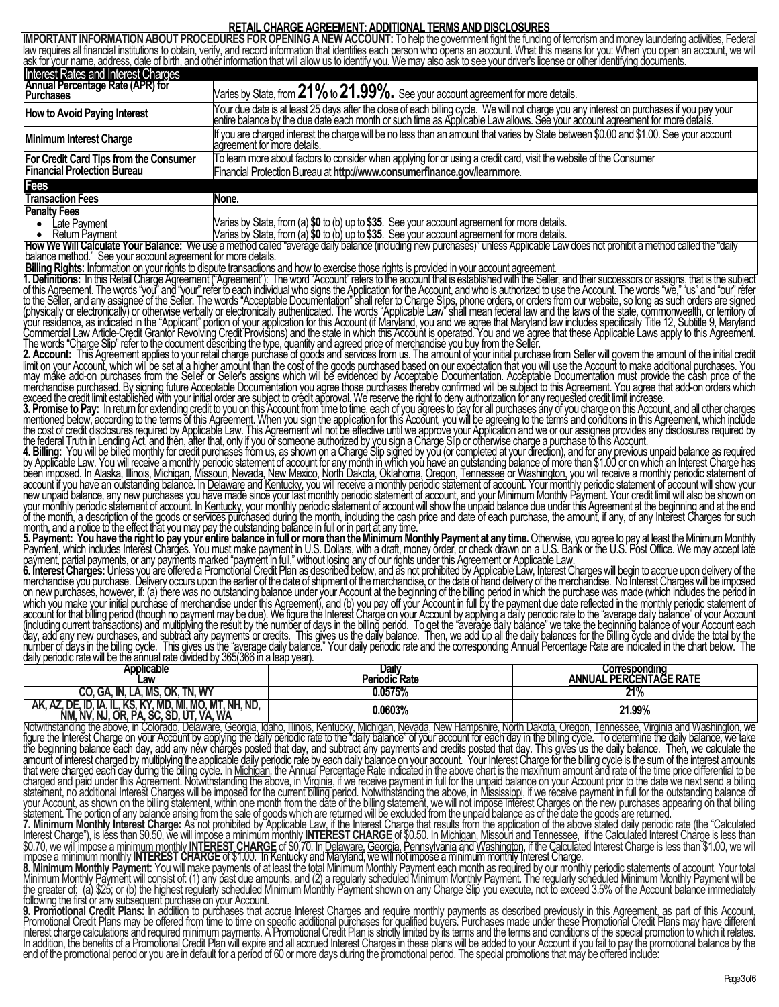## **RETAIL CHARGE AGREEMENT: ADDITIONAL TERMS AND DISCLOSURES**

**IMPORTANT INFORMATION ABOUT PROCEDURES FOR OPENING A NEW ACCOUNT:** To help the government fight the funding of terrorism and money laundering activities, Federal law requires all financial institutions to obtain, verify, and record information that identifies each person who ŏpens an accŏunt. What this means for you: When you open ăn account, we will ask for your name, address, date of birth, and other information that will allow us to identify you. We may also ask to see your driver's license or other identifying documents. Interest Rates and Interest Charges **Annual Percentage Rate (APR) for Purchases** Varies by State, from **21%**to **21.99%.** See your account agreement for more details. How to Avoid Paying Interest **Subset Cover the Seap Stage Stage Stage Stage Stage Stage Stage Stage Stage Stage St**<br>Pentire balance by the due date each month or such time as Applicable Law allows. See your account agreeme **Minimum Interest Charge** If you are charged interest the charge will be no less than an amount that varies by State between \$0.00 and \$1.00. See your account agreement for more details. **For Credit Card Tips from the Consumer Financial Protection Bureau** To learn more about factors to consider when applying for or using a credit card, visit the website of the Consumer Financial Protection Bureau at **http://www.consumerfinance.gov/learnmore**. **Fees Transaction Fees** None. **Penalty Fees** • Late Payment • Return Payment Varies by State, from (a) **\$0** to (b) up to **\$35**. See your account agreement for more details. Varies by State, from (a) **\$0** to (b) up to **\$35**. See your account agreement for more details. **How We Will Calculate Your Balance:** We use a method called "average daily balance (including new purchases)" unless Applicable Law does not prohibit a method called the "daily balance method." See your account agreement for more details.<br>**Billing Rights:** Information on your rights to dispute transactions and how to exercise those rights is provided in your account agreement **Billing Rights:** Information on your rights to dispute transactions and how to exercise those rights is provided in your account agreement. **1. Definitions:** In this Retail Charge Agreement ("Agreement"): The word "Account" refers to the account that is established with the Seller, and their successors or assigns, that is the subject of this Agreement. The words "you" and "your" refer to each individual who signs the Application for the Account, and who is authorized to use the Account. The words "we," "us" and "our" refer to the Seller, and any assignee of the Seller. The words "Acceptable Documentation" shall refer to Charge Slips, phone orders, or orders from our website, so long as such orders are signed (physically or electronically) or otherwise verbally or electronically authenticated. The words "Applicable Law" shall mean federal law and the laws of the state, commonwealth, or territory of your residence, as indicated in the "Applicant" portion of your application for this Account (if <u>Maryland</u>, you and we agree that Maryland law includes specifically Title 12, Subtitle 9, Maryland Commercial Law Article-Credit Grantor Revolving Credit Provisions) and the state in which this Account is operated. You and we agree that these Applicable Laws apply to this Agreement. The words "Charge Slip" refer to the document dĕscribing the type, quantity and agreed price of merchandise you buy from the Seller. **2. Account:** This Agreement applies to your retail charge purchase of goods and services from us. The amount of your initial purchase from Seller will govern the amount of the initial credit limit on your Account, which will be set at a higher amount than the cost of the goods purchased based on our expectation that you will use the Account to make additional purchases. You may make add-on purchases from the Seller or Seller's assigns which will be evidenced by Acceptable Documentation. Acceptable Documentation must provide the cash price of the merchandise purchased. By signing future Acceptable Documentation you agree those purchases thereby confirmed will be subject to this Agreement. You agree that add-on orders which exceed the credit limit established with your initial order are subject to credit approval. We reserve the right to deny authorization for any requested credit limit increase. **3. Promise to Pay:** In return for extending credit to you on this Account from time to time, each of you agrees to pay for all purchases any of you charge on this Account, and all other charges mentioned below, according to the terms of this Agreement. When you sign the application for this Account, you will be agreeing to the terms and conditions in this Agreement, which include the cost of credit disclosures required by Applicable Law. This Agreement will not be effective until we approve your Application and we or our assignee provides any disclosures required by the federal Truth in Lending Act, and then, after that, only if you or someone authorized by you sign a Charge Slip or otherwise charge a purchase to this Account. **4. Billing:** You will be billed monthly for credit purchases from us, as shown on a Charge Slip signed by you (or completed at your direction), and for any previous unpaid balance as required by Applicable Law. You will receive a monthly periodic statement of account for any month in which you have an outstanding balance of more than \$1.00 or on which an Interest Charge has been imposed. In <u>Alaska, Illinois, Michigan, Missouri, Nevada, New Mexico, North Dakota, Oklahoma, Oregon, Tennessee or Washington, you will receive a monthly periodic statement of</u> account if you have an outstanding balance. In Delaware and Kentucky, you will receive a monthly periodic statement of account. Your monthly periodic statement of account will show your new unpaid balance, any new purchases you have made since your last monthly periodic statement of account, and your Minimum Monthly Payment. Your credit limit will also be shown on your monthly periodic statement of account. In <u>Kentucky,</u> your monthly periodic statement of account will show the unpaid balance due under this Agreement at the beginning and at the end of the month, a description of the goods or services purchased during the month, including the cash price and date of each purchase, the amount, if any, of any Interest Charges for such month, and a notice to the effect that you may pay the outstanding balance in full or in part at any time. **5. Payment: You have the right to pay your entire balance in full or more than the Minimum Monthly Payment at any time.** Otherwise, you agree to pay at least the Minimum Monthly Payment, which includes Interest Charges. You must make payment in U.S. Dollars, with a draft, money order, or check drawn on a U.S. Bank or the U.S. Post Office. We may accept late payment, partial payments, or any payments marked "payment in full," without losing any of our rights under this Agreement or Applicable Law. **6. Interest Charges:** Unless you are offered a Promotional Credit Plan as described below, and as not prohibited by Applicable Law, Interest Charges will begin to accrue upon delivery of the merchandise you purchase. Delivery occurs upon the earlier of the date of shipment of the merchandise, or the date of hand delivery of the merchandise. No Interest Charges will be imposed on new purchases, however, if: (a) there was no outstanding balance under your Account at the beginning of the billing period in which the purchase was made (which includes the period in which you make your initial purchase of merchandise under this Agreement), and (b) you pay off your Account in full by the payment due date reflected in the monthly periodic statement of account for that billing period (though no payment may be due). We figure the Interest Charge on your Account by applying a daily periodic rate to the "average daily balance" of your Account (including current transactions) and multiplying the result by the number of days in the billing period. To get the "average daily balance" we take the beginning balance of your Account each day, add any new purchases, and subtract any payments or credits. This gives us the daily balance. Then, we add up all the daily balances for the billing cycle and divide the total by the number of days in the billing cycle. This gives us the "average daily balance." Your daily periodic rate and the corresponding Annual Percentage Rate are indicated in the chart below. The daily periodic rate will be the annual rate divided by 365(366 in a leap year). **Applicable Daily Corresponding** Applicable<br>Law Periodic Rate<br>0.0575% **Corresponding<br>ANNUAL PERCENTAGE RATE**<br>21% **CO, GA, IN, LA, MS, OK, TN, WY 0.0575% 21% AK, AZ, DE, ID, IA, IL, KS, KY, MD, MI, MO, MT, NH, ND, NM, NV, NJ, OR, PA, SC, SD, UT, VA, WA 0.0603% 21.99%** Notwithstanding the above, in Colorado, Delaware, Georgia, Idaho, Illinois, Kentucky, Michigan, Nevada, New Hampshire, North Dakota, Oregon, Tennessee, Virginia and Washington, we figure the Interest Charge on your Account by applying the daily periodic rate to the "daily balance" of your account for each day in the billing cycle. To determine the daily balance, we take the beginning balance each day, add any new charges posted that day, and subtract any payments and credits posted that day. This gives us the daily balance. Then, we calculate the amount of interest charged by multiplying the applicable daily periodic rate by each daily balance on your account. Your Interest Charge for the billing cycle is the sum of the interest amounts that were charged each day during the billing cycle. In <u>Michigan,</u> the Annual Percentage Rate indicated in the above chart is the maximum amount and rate of the time price differential to be charged and paid under this Agreement. Notwithstanding the above, in Virginia, if we receive payment in full for the unpaid balance on your Account prior to the date we next send a billing statement, no additional Interest Charges will be imposed for the current billing period. Notwithstanding the above, in <u>Mississippi,</u> if we receive payment in full for the outstanding balance of your Account, as shown on the billing statement, within one month from the date of the billing statement, we will not impose Interest Charges on the new purchases appearing on that billing statement. The portion of any balance arising from the sale of goods which are returned will be excluded from the unpaid balance as of the date the goods are returned.

**7. Minimum Monthly Interest Charge:** As not prohibited by Applicable Law, if the Interest Charge that results from the application of the above stated daily periodic rate (the "Calculated Interest Charge"), is less than \$0.50, we will impose a minimum monthly INTEREST CHARGE of \$0.50. In Michigan, Missouri and Tennessee, if the Calculated Interest Charge is less than \$0.70, we will impose a minimum monthly **INTEREST CHARGE** of \$0.70. In Delaware, Georgia, Pennsylvania and Washington, if the Calculated Interest Charge is less than \$1.00, we will impose a minimum monthly **INTEREST CHARGE** of \$1.00. In Kentucky and Maryland, we will not impose a minimum monthly Interest Charge.

**8. Minimum Monthly Payment:** You will make payments of at least the total Minimum Monthly Payment each month as required by our monthly periodic statements of account. Your total Minimum Monthly Payment will consist of: (1) any past due amounts, and (2) a regularly scheduled Minimum Monthly Payment. The regularly scheduled Minimum Monthly Payment will be the greater of: (a) \$25; or (b) the highest regularly scheduled Minimum Monthly Payment shown on any Charge Slip you execute, not to exceed 3.5% of the Account balance immediately following the first or any subsequent purchase on your Account.

**9. Promotional Credit Plans:** In addition to purchases that accrue Interest Charges and require monthly payments as described previously in this Agreement, as part of this Account, Promotional Credit Plans may be offered from time to time on specific additional purchases for qualified buyers. Purchases made under these Promotional Credit Plans may have different interest charge calculations and required minimum payments. A Promotional Credit Plan is strictly limited by its terms and the terms and conditions of the special promotion to which it relates. In addition, the benefits of a Promotional Credit Plan will expire and all accrued Interest Charges in these plans will be added to your Account if you fail to pay the promotional balance by the end of the promotional period or you are in default for a period of 60 or more days during the promotional period. The special promotions that may be offered include: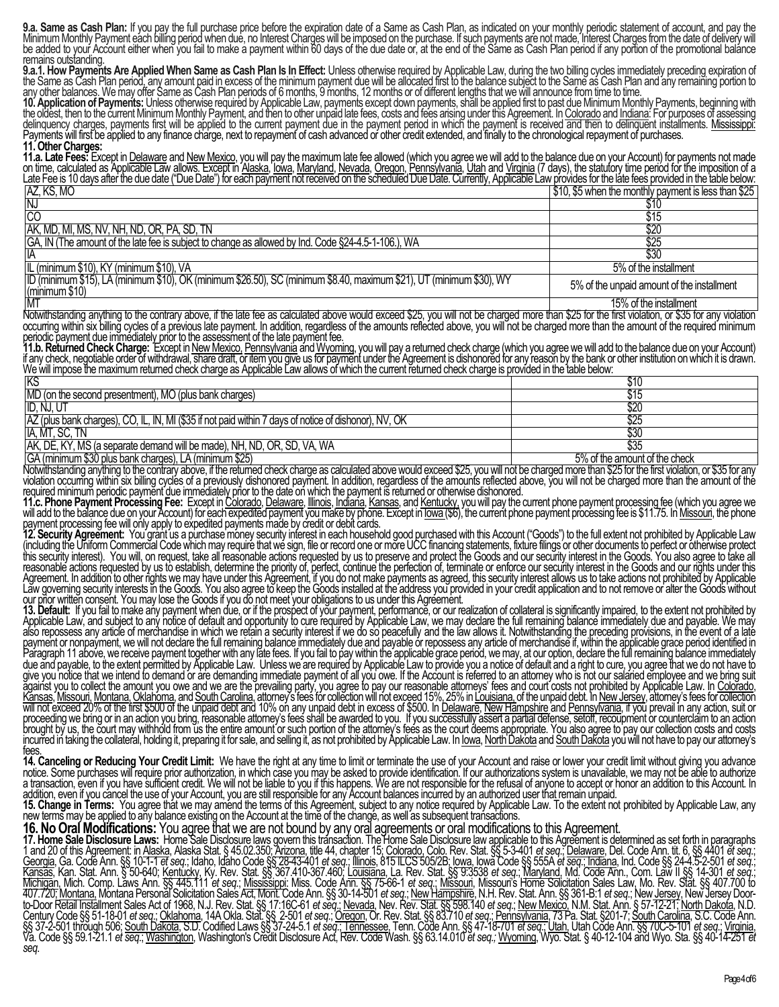**9.a. Same as Cash Plan:** If you pay the full purchase price before the expiration date of a Same as Cash Plan, as indicated on your monthly periodic statement of account, and pay the Minimum Monthly Payment each billing period when due, no Interest Charges will be imposed on the purchase. If such payments are not made, Interest Charges from the date of delivery will be added to your Account either when you fail to make a payment within 60 days of the due date or, at the end of the Same as Cash Plan period if any portion of the promotional balance remains outstanding.

**9.a.1. How Payments Are Applied When Same as Cash Plan Is In Effect:** Unless otherwise required by Applicable Law, during the two billing cycles immediately preceding expiration of the Same as Cash Plan period, any amount paid in excess of the minimum payment due will be allocated first to the balance subject to the Same as Cash Plan and any remaining portion to any other balances. We may offer Same as Cash Plan periods of 6 months, 9 months, 12 months or of different lengths that we will announce from time to time.

**10. Application of Payments:** Unless otherwise required by Applicable Law, payments except down payments, shall be applied first to past due Minimum Monthly Payments, beginning with the oldest, then to the current Minimum Monthly Payment, and then to other unpaid late fees, costs and fees arising under this Agreement. In Colorado and Indiana: For purposes of assessing delinquency charges, payments first will be applied to the current payment due in the payment period in which the payment is received and then to delinquent installments. Mississippi: Payments will first be applied to any finance charge, next to repayment of cash advanced or other credit extended, and finally to the chronological repayment of purchases.

### **11. Other Charges:**

**11.a. Late Fees:** Except in Delaware and New Mexico, you will pay the maximum late fee allowed (which you agree we will add to the balance due on your Account) for payments not made on time, calculated as Applicable Law allows. Except in Alaska, Iowa, Maryland, Nevada, Oregon, Pennsylvania, Utah and Virginia (7 days), the statutory time period for the imposition of a Late Fee is 10 days after the due date ("Due Date") for each payment not received on the scheduled Due Date. Currently, Applicable Law provides for the late fees provided in the table below: AZ, KS, MO 65 when the case was used and you can purpose the content of the content of the monthly payment is less than \$25 less than \$25 less than \$25 less than \$25 less than \$25 less than \$25 less than \$25 less than \$25

| ורע, ו זיוט, וויוט                                                                                                                      | I V TV, VV WITCH LITC THORILITY DOWNTO IL IO ICOO LITCH I VZV |
|-----------------------------------------------------------------------------------------------------------------------------------------|---------------------------------------------------------------|
| IN.                                                                                                                                     | \$10                                                          |
| CC                                                                                                                                      | \$15                                                          |
| JAK, MD, MI, MS, NV, NH, ND, OR, PA, SD, TN                                                                                             | \$20                                                          |
| GA, IN (The amount of the late fee is subject to change as allowed by Ind. Code §24-4.5-1-106.), WA                                     | \$25                                                          |
| IA                                                                                                                                      |                                                               |
| IL (minimum \$10), KY (minimum \$10), VA                                                                                                | 5% of the installment                                         |
| [ID (minimum \$15), LA (minimum \$10), OK (minimum \$26.50), SC (minimum \$8.40, maximum \$21), UT (minimum \$30), WY<br>(minimum \$10) | 5% of the unpaid amount of the installment                    |

MT 2006 of the installment of the installment of the installment of the installment of the installment of the installment of the installment of the installment of the installment of the installment of the installment of th Notwithstanding anything to the contrary above, if the late fee as calculated above would exceed \$25, you will not be charged more than \$25 for the first violation, or \$35 for any violation occurring within six billing cycles of a previous late payment. In addition, regardless of the amounts reflected above, you will not be charged more than the amount of the required minimum

periodic payment due immediately prior to the assessment of the late payment fee. **11.b. Returned Check Charge:** Except in New Mexico, Pennsylvania and Wyoming, you will pay a returned check charge (which you agree we will add to the balance due on your Account) if any check, negotiable order of withdrawal, <del>share draft, or item you give</del> us for payment under the Agreement is dishonored for any reason by the bank or other institution on which it is drawn. We will impose the maximum returned check charge as Applicable Law allows of which the current returned check charge is provided in the table below:

| KS                                                                                                    | \$10                          |
|-------------------------------------------------------------------------------------------------------|-------------------------------|
| MD (on the second presentment), MO (plus bank charges)                                                | \$15                          |
| ID, NJ, U                                                                                             | \$20                          |
| AZ (plus bank charges), CO, IL, IN, MI (\$35 if not paid within 7 days of notice of dishonor), NV, OK | \$25                          |
| IA, MT, SC, TN                                                                                        | \$30                          |
| AK, DE, KY, MS (a separate demand will be made), NH, ND, OR, SD, VA, WA                               |                               |
| GA (minimum \$30 plus bank charges), LA (minimum \$25)                                                | 5% of the amount of the check |

Notwithstanding anything to the contrary above, if the returned check charge as calculated above would exceed \$25, you will not be charged more than \$25 for the first violation, or \$35 for any violation occurring within six billing cycles of a previously dishonored payment. In addition, regardless of the amounts reflected above, you will not be charged more than the amount of the required minimum periodic payment due immediately prior to the date on which the payment is returned or otherwise dishonored.

**11.c. Phone Payment Processing Fee:** Except in Colorado, Delaware, Illinois, Indiana, Kansas, and Kentucky, you will pay the current phone payment processing fee (which you agree we will add to the balance due on your Account) for each expedited payment you make by phone. Except in <u>Towa (</u>\$6), the current phone payment processing fee is \$11.75. In <u>Missouri,</u> the phone payment processing fee will only apply to expedited payments made by credit or debit cards.

**12. Security Agreement:** You grant us a purchase money security interest in each household good purchased with this Account ("Goods") to the full extent not prohibited by Applicable Law (including the Uniform Commercial Code which may require that we sign, file or record one or more UCC financing statements, fixture filings or other documents to perfect or otherwise protect this security interest). You will, on request, take all reasonable actions requested by us to preserve and protect the Goods and our security interest in the Goods. You also agree to take all reasonable actions requested by us to establish, determine the priority of, perfect, continue the perfection of, terminate or enforce our security interest in the Goods and our rights under this Agreement. In addition to other rights we may have under this Agreement, if you do not make payments as agreed, this security interest allows us to take actions not prohibited by Applicable Law governing security interests in the Goods. You also agree to keep the Goods installed at the address you provided in your credit application and to not remove or alter the Goods without our prior written consent. You may lose the Goods if you do not meet your obligations to us under this Agréement.

**13. Default:** If you fail to make any payment when due, or if the prospect of your payment, performance, or our realization of collateral is significantly impaired, to the extent not prohibited by Applicable Law, and subject to any notice of default and opportunity to cure required by Applicable Law, we may declare the full remaining balance immediately due and payable. We may also repossess any article of merchandise in which we retain a security interest if we do so peacefully and the law allows it. Notwithstanding the preceding provisions, in the event of a late payment or nonpayment, we will not declare the full remaining balance immediately due and payable or repossess any article of merchandise if, within the applicable grace period identified in Paragraph 11 above, we receive payment together with any late fees. If you fail to pay within the applicable grace period, we may, at our option, declare the full remaining balance immediately due and payable, to the extent permitted by Applicable Law. Unless we are required by Applicable Law to provide you a notice of default and a right to cure, you agree that we do not have to give you notice that we intend to demand or are demanding immediate payment of all you owe. If the Account is referred to an attorney who is not our salaried employee and we bring suit against you to collect the amount you owe and we are the prevailing party, you agree to pay our reasonable attorneys' fees and court costs not prohibited by Applicable Law. In Colorado, Kansas, Missouri, Montana, Oklahoma, and <u>South Carolina,</u> attorney's fees for collection will not exceed 15%, 25% in <u>Louisiana,</u> of the unpaid debt. In <u>New Jersey,</u> attorney's fees for collection will not exceed 20% of the first \$500 of the unpaid debt and 10% on any unpaid debt in excess of \$500. In Delaware, New Hampshire and Pennsylvania, if you prevail in any action, suit or proceeding we bring or in an action you bring, reasonable attorney's fees shall be awarded to you. If you successfully assert a partial defense, setoff, recoupment or counterclaim to an action brought by us, the court may withhold from us the entire amount or such portion of the attorney's fees as the court deems appropriate. You also agree to pay our collection costs and costs incurred in taking the collateral, holding it, preparing it for sale, and selling it, as not prohibited by Applicable Law. In <u>Iowa, North Dakota</u> and <u>South Dakota</u> you will not have to pay our attorney's fees.

**14. Canceling or Reducing Your Credit Limit:** We have the right at any time to limit or terminate the use of your Account and raise or lower your credit limit without giving you advance notice. Some purchases will require prior authorization, in which case you may be asked to provide identification. If our authorizations system is unavailable, we may not be able to authorize a transaction, even if you have sufficient credit. We will not be liable to you if this happens. We are not responsible for the refusal of anyone to accept or honor an addition to this Account. In addition, even if you cancel the use of your Account, you are still responsible for any Account balances incurred by an authorized user that remain unpaid.

**15. Change in Terms:** You agree that we may amend the terms of this Agreement, subject to any notice required by Applicable Law. To the extent not prohibited by Applicable Law, any new terms may be applied to any balance existing on the Account at the time of the change, as well as subsequent transactions.

**16. No Oral Modifications:** You agree that we are not bound by any oral agreements or oral modifications to this Agreement.

**17. Home Sale Disclosure Laws:** Home Sale Disclosure laws govern this transaction. The Home Sale Disclosure law applicable to this Agreement is determined as set forth in paragraphs 1 and 20 of this Agreement: in Alaska, Alaska Stat. § 45.02.350; Arizona, title 44, chapter 15; Colorado, Colo. Rev. Stat. §§ 5-3-401 *et seq*.; Delaware, Del. Code Ann. tit. 6, §§ 4401 *et seq*.; Georgia, Ga. Code Ann. §§ 10-1-1 *et seq*.; Idaho, Idaho Code §§ 28-43-401 *et seq*.; Illinois, 815 ILCS 505/2B; Iowa, Iowa Code §§ 555A *et seq*.; Indiana, Ind. Code §§ 24-4.5-2-501 *et seq*.; Kansas, Kan. Stat. Ann. § 50-640; Kentucky, Ky. Rev. Stat. §§ 367.410-367.460; Louisiana, La. Rev. Stat. §§ 9:3538 *et seq*.; Maryland, Md. Code Ann., Com. Law II §§ 14-301 *et seq*.; Michigan, Mich. Comp. Laws Ann. §§ 445.111 *et seq*.; Mississippi: Miss. Code Ann. §§ 75-66-1 *et seq*.; Missouri, Missouri's Home Solicitation Sales Law, Mo. Rev. Stat. §§ 407.700 to 407.720; Montana,Montana Personal Solicitation Sales Act, Mont. Code Ann. §§ 30-14-501 *et seq*.; New Hampshire, N.H. Rev. Stat. Ann. §§ 361-B:1 *et seq*.; NewJersey, New Jersey Doorto-Door Retail Installment Sales Act of 1968, N.J. Rev. Stat. §§ 17:16C-61 *et seq*.; Nevada, Nev. Rev. Stat. §§ 598.140 *et seq*.; New Mexico, N.M. Stat. Ann. § 57-12-21; North Dakota, N.D. Century Code §§ 51-18-01 *et seq*.; Oklahoma, 14A Okla. Stat. §§ 2-501 *et seq*.; Oregon, Or. Rev. Stat. §§ 83.710 *et seq*.; Pennsylvania, 73 Pa. Stat. §201-7; South Carolina, S.C. Code Ann. §§ 37-2-501 through 506; South Dakota, S.D. Codified Laws §§ 37-24-5.1 *et seq*.; Tennessee, Tenn. Code Ann. §§ 47-18-701 *et seq*.; Utah, Utah Code Ann. §§ 70C-5-101 *et seq*.; Virginia, Va. Code §§ 59.1-21.1 *et seq*.; Washington, Washington's Credit Disclosure Act, Rev. Code Wash. §§ 63.14.010 *et seq.;* Wyoming, Wyo. Stat. § 40-12-104 and Wyo. Sta. §§ 40-14-251 *et seq*.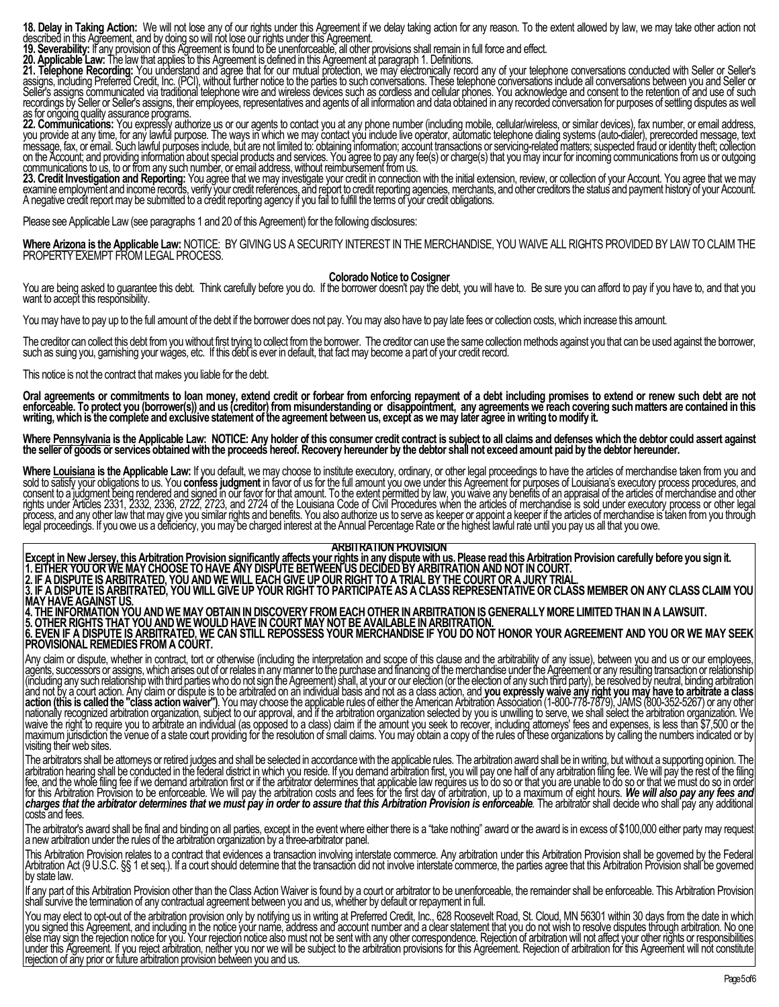**18. Delay in Taking Action:** We will not lose any of our rights under this Agreement if we delay taking action for any reason. To the extent allowed by law, we may take other action not described in this Agreement, and by doing so will not lose our rights under this Agreement.

**19. Severability:** If any provision of this Agreement is found to be unenforceable, all other provisions shall remain in full force and effect.

**20. Applicable Law:** The law that applies to this Agreement is defined in this Agreement at paragraph 1. Definitions.

**21. Telephone Recording:** You understand and agree that for our mutual protection, we may electronically record any of your telephone conversations conducted with Seller or Seller's assigns, including Preferred Credit, Inc. (PCI), without further notice to the parties to such conversations. These telephone conversations include all conversations between you and Seller or Seller's assigns communicated via traditional telephone wire and wireless devices such as cordless and cellular phones. You acknowledge and consent to the retention of and use of such recordings by Seller or Seller's assigns, their employees, representatives and agents of all information and data obtained in any recorded conversation for purposes of settling disputes as well as for ongoing quality assurance programs.

**22. Communications:** You expressly authorize us or our agents to contact you at any phone number (including mobile, cellular/wireless, or similar devices), fax number, or email address, you provide at any time, for any lawful purpose. The ways in which we may contact you include live operator, automatic telephone dialing systems (auto-dialer), prerecorded message, text message, fax, or email. Such lawful purposes include, but are not limited to: obtaining information; account transactions or servicing-related matters; suspected fraud or identity theft; collection on the Account; and providing information about special products and services. You agree to pay any fee(s) or charge(s) that you may incur for incoming communications from us or outgoing communications to us, to or from any such number, or email address, without reimbursement from us.

**23. Credit Investigation and Reporting:** You agree that we may investigate your credit in connection with the initial extension, review, or collection of your Account. You agree that we may examine employment and income records, verify your credit references, and report to credit reporting agencies, merchants, and other creditors the status and payment history of your Account. A negative credit report may be submitted to a credit reporting agency if you fail to fulfill the terms of your credit obligations.

Please see Applicable Law (see paragraphs 1 and 20 of this Agreement) for the following disclosures:

**Where Arizona is the Applicable Law:** NOTICE: BY GIVING US A SECURITY INTEREST IN THE MERCHANDISE, YOU WAIVE ALL RIGHTS PROVIDED BY LAW TO CLAIM THE PROPERTY EXEMPT FROM LEGAL PROCESS.

## **Colorado Notice to Cosigner**

You are being asked to guarantee this debt. Think carefully before you do. If the borrower doesn't pay the debt, you will have to. Be sure you can afford to pay if you have to, and that you want to accept this responsibility.

You may have to pay up to the full amount of the debt if the borrower does not pay. You may also have to pay late fees or collection costs, which increase this amount.

The creditor can collect this debt from you without first trying to collect from the borrower. The creditor can use the same collection methods against you that can be used against the borrower, such as suing you, garnishing your wages, etc. If this debt is ever in default, that fact may become a part of your credit record.

This notice is not the contract that makes you liable for the debt.

**Oral agreements or commitments to loan money, extend credit or forbear from enforcing repayment of a debt including promises to extend or renew such debt are not enforceable. To protect you (borrower(s)) and us (creditor) from misunderstanding or disappointment, any agreements we reach covering such matters are contained in this writing, which is the complete and exclusive statement of the agreement between us, except as we may later agree in writing to modify it.**

Where Pennsylvania is the Applicable Law: NOTICE: Any holder of this consumer credit contract is subject to all claims and defenses which the debtor could assert against **the seller of goods or services obtained with the proceeds hereof. Recovery hereunder by the debtor shall not exceed amount paid by the debtor hereunder.**

**Where Louisiana is the Applicable Law:** If you default, we may choose to institute executory, ordinary, or other legal proceedings to have the articles of merchandise taken from you and sold to satisfy your obligations to us. You confess judgment in favor of us for the full amount you owe under this Agreement for purposes of Louisiana's executory process procedures, and consent to a judgment being rendered and signed in our favor for that amount. To the extent permitted by law, you waive any benefits of an appraisal of the articles of merchandise and other rights under Articles 2331, 2332, 2336, 2722, 2723, and 2724 of the Louisiana Code of Civil Procedures when the articles of merchandise is sold under executory process or other legal process, and any other law that may give you similar rights and benefits. You also authorize us to serve as keeper or appoint a keeper if the articles of merchandise is taken from you through legal proceedings. If you owe us a deficiency, you may be charged interest at the Annual Percentage Rate or the highest lawful rate until you pay us all that you owe.

#### **ARBITRATION PROVISION**

**Except in New Jersey, this Arbitration Provision significantly affects your rights in any dispute with us. Please read this Arbitration Provision carefully before you sign it. 1. EITHER YOU OR WE MAY CHOOSE TO HAVE ANY DISPUTE BETWEEN US DECIDED BY ARBITRATION AND NOT IN COURT. 2. IF A DISPUTE IS ARBITRATED, YOU AND WE WILL EACH GIVE UP OUR RIGHT TO A TRIAL BY THE COURT OR A JURY TRIAL. 3. IF A DISPUTE IS ARBITRATED, YOU WILL GIVE UP YOUR RIGHT TO PARTICIPATE AS A CLASS REPRESENTATIVE OR CLASS MEMBER ON ANY CLASS CLAIM YOU MAY HAVE AGAINST US. 4. THE INFORMATION YOU AND WE MAY OBTAIN IN DISCOVERY FROM EACH OTHER IN ARBITRATION IS GENERALLY MORE LIMITED THAN IN A LAWSUIT.**

**5. OTHER RIGHTS THAT YOU AND WE WOULD HAVE IN COURT MAY NOT BE AVAILABLE IN ARBITRATION. 6. EVEN IF A DISPUTE IS ARBITRATED, WE CAN STILL REPOSSESS YOUR MERCHANDISE IF YOU DO NOT HONOR YOUR AGREEMENT AND YOU OR WE MAY SEEK PROVISIONAL REMEDIES FROM A COURT.**

Any claim or dispute, whether in contract, tort or otherwise (including the interpretation and scope of this clause and the arbitrability of any issue), between you and us or our employees, agents, successors or assigns, which arises out of or relates in any manner to the purchase and financing of the merchandise under the Agreement or any resulting transaction or relationship (including any such relationship with third parties who do not sign the Agreement) shall, at your or our election (or the election of any such third party), be resolved by neutral, binding arbitration and not by a court action. Any claim or dispute is to be arbitrated on an individual basis and not as a class action, and **you expressly waive any right you may have to arbitrate a class action (this is called the "class action waiver")**. You may choose the applicable rules of either the American Arbitration Association (1-800-778-7879), JAMS (800-352-5267) or any other nationally recognized arbitration organization, subject to our approval, and if the arbitration organization selected by you is unwilling to serve, we shall select the arbitration organization. We waive the right to require you to arbitrate an individual (as opposed to a class) claim if the amount you seek to recover, including attorneys' fees and expenses, is less than \$7,500 or the maximum jurisdiction the venue of a state court providing for the resolution of small claims. You may obtain a copy of the rules of these organizations by calling the numbers indicated or by visiting their web sites.

The arbitrators shall be attorneys or retired judges and shall be selected in accordance with the applicable rules. The arbitration award shall be in writing, but without a supporting opinion. The arbitration hearing shall be conducted in the federal district in which you reside. If you demand arbitration first, you will pay one half of any arbitration filing fee. We will pay the rest of the filing fee, and the whole filing fee if we demand arbitration first or if the arbitrator determines that applicable law requires us to do so or that you are unable to do so or that we must do so in order for this Arbitration Provision to be enforceable. We will pay the arbitration costs and fees for the first day of arbitration, up to a maximum of eight hours. *We will also pay any fees and charges that the arbitrator determines that we must pay in order to assure that this Arbitration Provision is enforceable.* The arbitrator shall decide who shall pay any additional costs and fees.

The arbitrator's award shall be final and binding on all parties, except in the event where either there is a "take nothing" award or the award is in excess of \$100,000 either party may request a new arbitration under the rules of the arbitration organization by a three-arbitrator panel.

This Arbitration Provision relates to a contract that evidences a transaction involving interstate commerce. Any arbitration under this Arbitration Provision shall be governed by the Federal Arbitration Act (9 U.S.C. §§ 1 et seq.). If a court should determine that the transaction did not involve interstate commerce, the parties agree that this Arbitration Provision shall be governed by state law.

If any part of this Arbitration Provision other than the Class Action Waiver is found by a court or arbitrator to be unenforceable, the remainder shall be enforceable. This Arbitration Provision shall survive the termination of any contractual agreement between you and us, whether by default or repayment in full.

You may elect to opt-out of the arbitration provision only by notifying us in writing at Preferred Credit, Inc., 628 Roosevelt Road, St. Cloud, MN 56301 within 30 days from the date in which you signed this Agreement, and including in the notice your name, address and account number and a clear statement that you do not wish to resolve disputes through arbitration. No one else may sign the rejection notice for you. Your rejection notice also must not be sent with any other correspondence. Rejection of arbitration will not affect your other rights or responsibilities under this Agreement. If you reject arbitration, neither you nor we will be subject to the arbitration provisions for this Agreement. Rejection of arbitration for this Agreement will not constitute rejection of any prior or future arbitration provision between you and us.